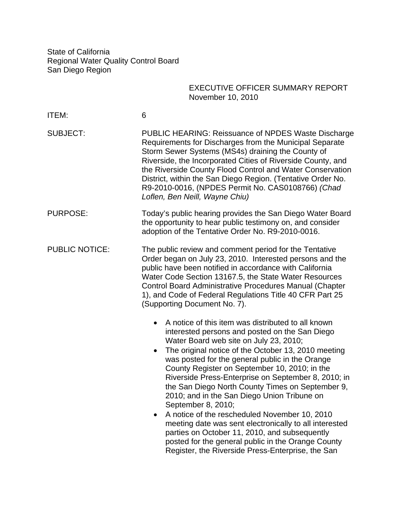State of California Regional Water Quality Control Board San Diego Region

# EXECUTIVE OFFICER SUMMARY REPORT November 10, 2010

| ITEM:                 | 6                                                                                                                                                                                                                                                                                                                                                                                                                                                                                                                                                                                                                                                                                                                                                                                          |
|-----------------------|--------------------------------------------------------------------------------------------------------------------------------------------------------------------------------------------------------------------------------------------------------------------------------------------------------------------------------------------------------------------------------------------------------------------------------------------------------------------------------------------------------------------------------------------------------------------------------------------------------------------------------------------------------------------------------------------------------------------------------------------------------------------------------------------|
| <b>SUBJECT:</b>       | PUBLIC HEARING: Reissuance of NPDES Waste Discharge<br>Requirements for Discharges from the Municipal Separate<br>Storm Sewer Systems (MS4s) draining the County of<br>Riverside, the Incorporated Cities of Riverside County, and<br>the Riverside County Flood Control and Water Conservation<br>District, within the San Diego Region. (Tentative Order No.<br>R9-2010-0016, (NPDES Permit No. CAS0108766) (Chad<br>Loflen, Ben Neill, Wayne Chiu)                                                                                                                                                                                                                                                                                                                                      |
| <b>PURPOSE:</b>       | Today's public hearing provides the San Diego Water Board<br>the opportunity to hear public testimony on, and consider<br>adoption of the Tentative Order No. R9-2010-0016.                                                                                                                                                                                                                                                                                                                                                                                                                                                                                                                                                                                                                |
| <b>PUBLIC NOTICE:</b> | The public review and comment period for the Tentative<br>Order began on July 23, 2010. Interested persons and the<br>public have been notified in accordance with California<br>Water Code Section 13167.5, the State Water Resources<br><b>Control Board Administrative Procedures Manual (Chapter</b><br>1), and Code of Federal Regulations Title 40 CFR Part 25<br>(Supporting Document No. 7).                                                                                                                                                                                                                                                                                                                                                                                       |
|                       | A notice of this item was distributed to all known<br>$\bullet$<br>interested persons and posted on the San Diego<br>Water Board web site on July 23, 2010;<br>The original notice of the October 13, 2010 meeting<br>$\bullet$<br>was posted for the general public in the Orange<br>County Register on September 10, 2010; in the<br>Riverside Press-Enterprise on September 8, 2010; in<br>the San Diego North County Times on September 9,<br>2010; and in the San Diego Union Tribune on<br>September 8, 2010;<br>A notice of the rescheduled November 10, 2010<br>meeting date was sent electronically to all interested<br>parties on October 11, 2010, and subsequently<br>posted for the general public in the Orange County<br>Register, the Riverside Press-Enterprise, the San |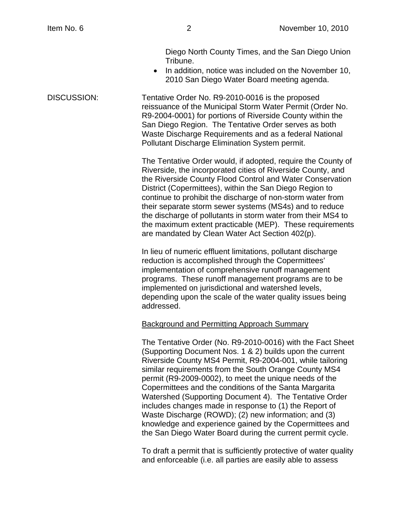Diego North County Times, and the San Diego Union Tribune.

• In addition, notice was included on the November 10, 2010 San Diego Water Board meeting agenda.

DISCUSSION: Tentative Order No. R9-2010-0016 is the proposed reissuance of the Municipal Storm Water Permit (Order No. R9-2004-0001) for portions of Riverside County within the San Diego Region. The Tentative Order serves as both Waste Discharge Requirements and as a federal National Pollutant Discharge Elimination System permit.

> The Tentative Order would, if adopted, require the County of Riverside, the incorporated cities of Riverside County, and the Riverside County Flood Control and Water Conservation District (Copermittees), within the San Diego Region to continue to prohibit the discharge of non-storm water from their separate storm sewer systems (MS4s) and to reduce the discharge of pollutants in storm water from their MS4 to the maximum extent practicable (MEP). These requirements are mandated by Clean Water Act Section 402(p).

In lieu of numeric effluent limitations, pollutant discharge reduction is accomplished through the Copermittees' implementation of comprehensive runoff management programs. These runoff management programs are to be implemented on jurisdictional and watershed levels, depending upon the scale of the water quality issues being addressed.

#### Background and Permitting Approach Summary

The Tentative Order (No. R9-2010-0016) with the Fact Sheet (Supporting Document Nos. 1 & 2) builds upon the current Riverside County MS4 Permit, R9-2004-001, while tailoring similar requirements from the South Orange County MS4 permit (R9-2009-0002), to meet the unique needs of the Copermittees and the conditions of the Santa Margarita Watershed (Supporting Document 4). The Tentative Order includes changes made in response to (1) the Report of Waste Discharge (ROWD); (2) new information; and (3) knowledge and experience gained by the Copermittees and the San Diego Water Board during the current permit cycle.

To draft a permit that is sufficiently protective of water quality and enforceable (i.e. all parties are easily able to assess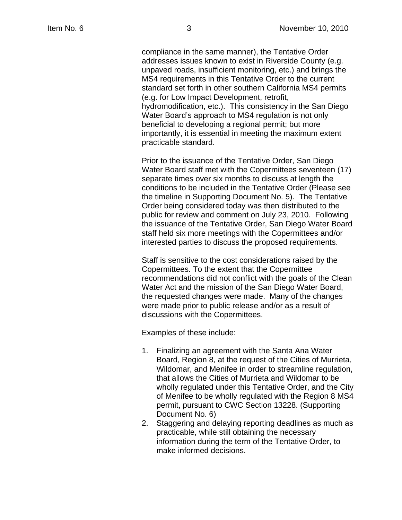compliance in the same manner), the Tentative Order addresses issues known to exist in Riverside County (e.g. unpaved roads, insufficient monitoring, etc.) and brings the MS4 requirements in this Tentative Order to the current standard set forth in other southern California MS4 permits (e.g. for Low Impact Development, retrofit, hydromodification, etc.). This consistency in the San Diego Water Board's approach to MS4 regulation is not only beneficial to developing a regional permit; but more importantly, it is essential in meeting the maximum extent practicable standard.

Prior to the issuance of the Tentative Order, San Diego Water Board staff met with the Copermittees seventeen (17) separate times over six months to discuss at length the conditions to be included in the Tentative Order (Please see the timeline in Supporting Document No. 5). The Tentative Order being considered today was then distributed to the public for review and comment on July 23, 2010. Following the issuance of the Tentative Order, San Diego Water Board staff held six more meetings with the Copermittees and/or interested parties to discuss the proposed requirements.

Staff is sensitive to the cost considerations raised by the Copermittees. To the extent that the Copermittee recommendations did not conflict with the goals of the Clean Water Act and the mission of the San Diego Water Board, the requested changes were made. Many of the changes were made prior to public release and/or as a result of discussions with the Copermittees.

Examples of these include:

- 1. Finalizing an agreement with the Santa Ana Water Board, Region 8, at the request of the Cities of Murrieta, Wildomar, and Menifee in order to streamline regulation, that allows the Cities of Murrieta and Wildomar to be wholly regulated under this Tentative Order, and the City of Menifee to be wholly regulated with the Region 8 MS4 permit, pursuant to CWC Section 13228. (Supporting Document No. 6)
- 2. Staggering and delaying reporting deadlines as much as practicable, while still obtaining the necessary information during the term of the Tentative Order, to make informed decisions.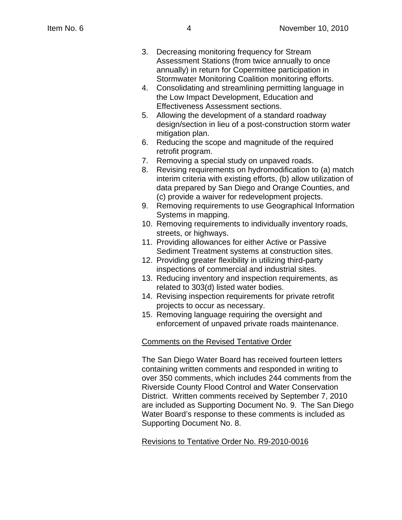- 3. Decreasing monitoring frequency for Stream Assessment Stations (from twice annually to once annually) in return for Copermittee participation in Stormwater Monitoring Coalition monitoring efforts.
- 4. Consolidating and streamlining permitting language in the Low Impact Development, Education and Effectiveness Assessment sections.
- 5. Allowing the development of a standard roadway design/section in lieu of a post-construction storm water mitigation plan.
- 6. Reducing the scope and magnitude of the required retrofit program.
- 7. Removing a special study on unpaved roads.
- 8. Revising requirements on hydromodification to (a) match interim criteria with existing efforts, (b) allow utilization of data prepared by San Diego and Orange Counties, and (c) provide a waiver for redevelopment projects.
- 9. Removing requirements to use Geographical Information Systems in mapping.
- 10. Removing requirements to individually inventory roads, streets, or highways.
- 11. Providing allowances for either Active or Passive Sediment Treatment systems at construction sites.
- 12. Providing greater flexibility in utilizing third-party inspections of commercial and industrial sites.
- 13. Reducing inventory and inspection requirements, as related to 303(d) listed water bodies.
- 14. Revising inspection requirements for private retrofit projects to occur as necessary.
- 15. Removing language requiring the oversight and enforcement of unpaved private roads maintenance.

## Comments on the Revised Tentative Order

The San Diego Water Board has received fourteen letters containing written comments and responded in writing to over 350 comments, which includes 244 comments from the Riverside County Flood Control and Water Conservation District. Written comments received by September 7, 2010 are included as Supporting Document No. 9. The San Diego Water Board's response to these comments is included as Supporting Document No. 8.

## Revisions to Tentative Order No. R9-2010-0016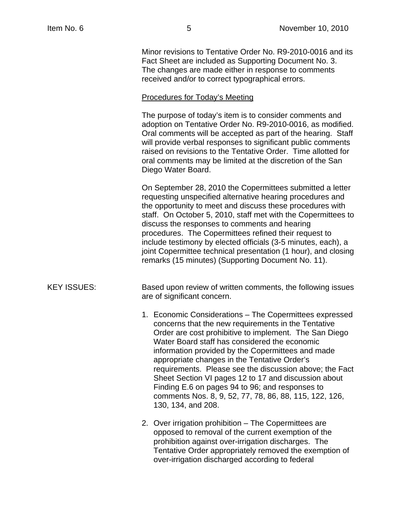Minor revisions to Tentative Order No. R9-2010-0016 and its Fact Sheet are included as Supporting Document No. 3. The changes are made either in response to comments received and/or to correct typographical errors.

#### Procedures for Today's Meeting

The purpose of today's item is to consider comments and adoption on Tentative Order No. R9-2010-0016, as modified. Oral comments will be accepted as part of the hearing. Staff will provide verbal responses to significant public comments raised on revisions to the Tentative Order. Time allotted for oral comments may be limited at the discretion of the San Diego Water Board.

On September 28, 2010 the Copermittees submitted a letter requesting unspecified alternative hearing procedures and the opportunity to meet and discuss these procedures with staff. On October 5, 2010, staff met with the Copermittees to discuss the responses to comments and hearing procedures. The Copermittees refined their request to include testimony by elected officials (3-5 minutes, each), a joint Copermittee technical presentation (1 hour), and closing remarks (15 minutes) (Supporting Document No. 11).

### KEY ISSUES: Based upon review of written comments, the following issues are of significant concern.

- 1. Economic Considerations The Copermittees expressed concerns that the new requirements in the Tentative Order are cost prohibitive to implement. The San Diego Water Board staff has considered the economic information provided by the Copermittees and made appropriate changes in the Tentative Order's requirements. Please see the discussion above; the Fact Sheet Section VI pages 12 to 17 and discussion about Finding E.6 on pages 94 to 96; and responses to comments Nos. 8, 9, 52, 77, 78, 86, 88, 115, 122, 126, 130, 134, and 208.
- 2. Over irrigation prohibition The Copermittees are opposed to removal of the current exemption of the prohibition against over-irrigation discharges. The Tentative Order appropriately removed the exemption of over-irrigation discharged according to federal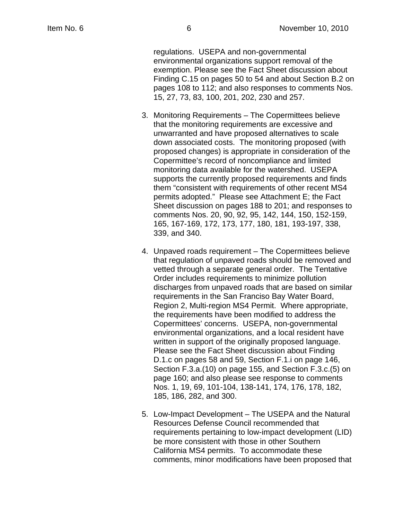regulations. USEPA and non-governmental environmental organizations support removal of the exemption. Please see the Fact Sheet discussion about Finding C.15 on pages 50 to 54 and about Section B.2 on pages 108 to 112; and also responses to comments Nos. 15, 27, 73, 83, 100, 201, 202, 230 and 257.

- 3. Monitoring Requirements The Copermittees believe that the monitoring requirements are excessive and unwarranted and have proposed alternatives to scale down associated costs. The monitoring proposed (with proposed changes) is appropriate in consideration of the Copermittee's record of noncompliance and limited monitoring data available for the watershed. USEPA supports the currently proposed requirements and finds them "consistent with requirements of other recent MS4 permits adopted." Please see Attachment E; the Fact Sheet discussion on pages 188 to 201; and responses to comments Nos. 20, 90, 92, 95, 142, 144, 150, 152-159, 165, 167-169, 172, 173, 177, 180, 181, 193-197, 338, 339, and 340.
- 4. Unpaved roads requirement The Copermittees believe that regulation of unpaved roads should be removed and vetted through a separate general order. The Tentative Order includes requirements to minimize pollution discharges from unpaved roads that are based on similar requirements in the San Franciso Bay Water Board, Region 2, Multi-region MS4 Permit. Where appropriate, the requirements have been modified to address the Copermittees' concerns. USEPA, non-governmental environmental organizations, and a local resident have written in support of the originally proposed language. Please see the Fact Sheet discussion about Finding D.1.c on pages 58 and 59, Section F.1.i on page 146, Section F.3.a.(10) on page 155, and Section F.3.c.(5) on page 160; and also please see response to comments Nos. 1, 19, 69, 101-104, 138-141, 174, 176, 178, 182, 185, 186, 282, and 300.
- 5. Low-Impact Development The USEPA and the Natural Resources Defense Council recommended that requirements pertaining to low-impact development (LID) be more consistent with those in other Southern California MS4 permits. To accommodate these comments, minor modifications have been proposed that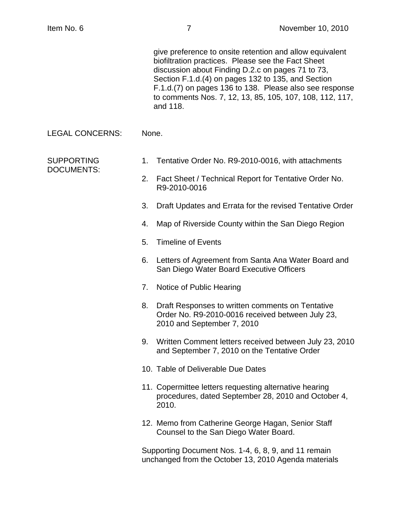| give preference to onsite retention and allow equivalent |
|----------------------------------------------------------|
| biofiltration practices. Please see the Fact Sheet       |
| discussion about Finding D.2.c on pages 71 to 73,        |
| Section F.1.d.(4) on pages 132 to 135, and Section       |
| F.1.d.(7) on pages 136 to 138. Please also see response  |
| to comments Nos. 7, 12, 13, 85, 105, 107, 108, 112, 117, |
| and 118.                                                 |

LEGAL CONCERNS: None.

DOCUMENTS:

- SUPPORTING 1. Tentative Order No. R9-2010-0016, with attachments
	- 2. Fact Sheet / Technical Report for Tentative Order No. R9-2010-0016
	- 3. Draft Updates and Errata for the revised Tentative Order
	- 4. Map of Riverside County within the San Diego Region
	- 5. Timeline of Events
	- 6. Letters of Agreement from Santa Ana Water Board and San Diego Water Board Executive Officers
	- 7. Notice of Public Hearing
	- 8. Draft Responses to written comments on Tentative Order No. R9-2010-0016 received between July 23, 2010 and September 7, 2010
	- 9. Written Comment letters received between July 23, 2010 and September 7, 2010 on the Tentative Order
	- 10. Table of Deliverable Due Dates
	- 11. Copermittee letters requesting alternative hearing procedures, dated September 28, 2010 and October 4, 2010.
	- 12. Memo from Catherine George Hagan, Senior Staff Counsel to the San Diego Water Board.

Supporting Document Nos. 1-4, 6, 8, 9, and 11 remain unchanged from the October 13, 2010 Agenda materials